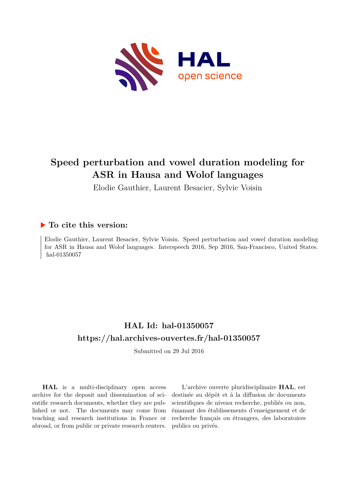

# **Speed perturbation and vowel duration modeling for ASR in Hausa and Wolof languages**

Elodie Gauthier, Laurent Besacier, Sylvie Voisin

# **To cite this version:**

Elodie Gauthier, Laurent Besacier, Sylvie Voisin. Speed perturbation and vowel duration modeling for ASR in Hausa and Wolof languages. Interspeech 2016, Sep 2016, San-Francisco, United States. hal-01350057

# **HAL Id: hal-01350057 <https://hal.archives-ouvertes.fr/hal-01350057>**

Submitted on 29 Jul 2016

**HAL** is a multi-disciplinary open access archive for the deposit and dissemination of scientific research documents, whether they are published or not. The documents may come from teaching and research institutions in France or abroad, or from public or private research centers.

L'archive ouverte pluridisciplinaire **HAL**, est destinée au dépôt et à la diffusion de documents scientifiques de niveau recherche, publiés ou non, émanant des établissements d'enseignement et de recherche français ou étrangers, des laboratoires publics ou privés.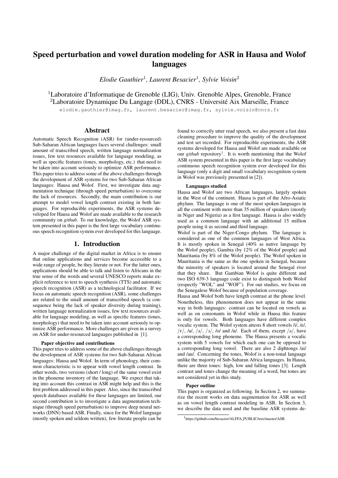# Speed perturbation and vowel duration modeling for ASR in Hausa and Wolof languages

*Elodie Gauthier*<sup>1</sup> *, Laurent Besacier*<sup>1</sup> *, Sylvie Voisin*<sup>2</sup>

<sup>1</sup>Laboratoire d'Informatique de Grenoble (LIG), Univ. Grenoble Alpes, Grenoble, France <sup>2</sup>Laboratoire Dynamique Du Langage (DDL), CNRS - Université Aix Marseille, France

elodie.qauthier@imaq.fr, laurent.besacier@imaq.fr, sylvie.voisin@cnrs.fr

# Abstract

Automatic Speech Recognition (ASR) for (under-resourced) Sub-Saharan African languages faces several challenges: small amount of transcribed speech, written language normalization issues, few text resources available for language modeling, as well as specific features (tones, morphology, etc.) that need to be taken into account seriously to optimize ASR performance. This paper tries to address some of the above challenges through the development of ASR systems for two Sub-Saharan African languages: Hausa and Wolof. First, we investigate data augmentation technique (through speed perturbation) to overcome the lack of resources. Secondly, the main contribution is our attempt to model vowel length contrast existing in both languages. For reproducible experiments, the ASR systems developed for Hausa and Wolof are made available to the research community on *github*. To our knowledge, the Wolof ASR system presented in this paper is the first large vocabulary continuous speech recognition system ever developed for this language.

# 1. Introduction

A major challenge of the digital market in Africa is to ensure that online applications and services become accessible to a wide range of people, be they literate or not. For the latter ones, applications should be able to talk and listen to Africans in the true sense of the words and several UNESCO reports make explicit reference to text to speech synthesis (TTS) and automatic speech recognition (ASR) as a technological facilitator. If we focus on automatic speech recognition (ASR), some challenges are related to the small amount of transcribed speech (a consequence being the lack of speaker diversity during training), written language normalization issues, few text resources available for language modeling, as well as specific features (tones, morphology) that need to be taken into account seriously to optimize ASR performance. More challenges are given in a survey on ASR for under-resourced languages published in [1].

#### Paper objective and contributions

This paper tries to address some of the above challenges through the development of ASR systems for two Sub-Saharan African languages: Hausa and Wolof. In term of phonology, their common characteristic is to appear with vowel length contrast. In other words, two versions (short / long) of the same vowel exist in the phoneme inventory of the language. We expect that taking into account this contrast in ASR might help and this is the first problem addressed in this paper. Also, since the transcribed speech databases available for these languages are limited, our second contribution is to investigate a data augmentation technique (through speed perturbation) to improve deep neural networks (DNN) based ASR. Finally, since for the Wolof language (mostly spoken and seldom written), few literate people can be

found to correctly utter read speech, we also present a fast data cleaning procedure to improve the quality of the development and test set recorded. For reproducible experiments, the ASR systems developed for Hausa and Wolof are made available on our *github* repository<sup>1</sup>. It is worth mentioning that the Wolof ASR system presented in this paper is the first large vocabulary continuous speech recognition system ever developed for this language (only a digit and small vocabulary recognition system in Wolof was previously presented in [2]).

#### Languages studied

Hausa and Wolof are two African languages, largely spoken in the West of the continent. Hausa is part of the Afro-Asiatic phylum. The language is one of the most spoken languages in all the continent with more than 35 million of speakers (mostly in Niger and Nigeria) as a first language. Hausa is also widely used as a common language with an additional 15 million people using it as second and third language.

Wolof is part of the Niger-Congo phylum. The language is considered as one of the common languages of West Africa. It is mostly spoken in Senegal (40% as native language by the Wolof people), Gambia (by 12% of the Wolof people) and Mauritania (by 8% of the Wolof people). The Wolof spoken in Mauritania is the same as the one spoken in Senegal, because the minority of speakers is located around the Senegal river that they share. But Gambian Wolof is quite different and two ISO 639-3 language code exist to distinguish both Wolof (respectly "WOL" and "WOF"). For our studies, we focus on the Senegalese Wolof because of population coverage.

Hausa and Wolof both have length contrast at the phone level. Nonetheless, this phenomenon does not appear in the same way in both languages: contrast can be located on vowels as well as on consonants in Wolof while in Hausa this feature is only for vowels. Both languages have different complex vocalic system. The Wolof system attests 8 short vowels /i/, /e/,  $\sqrt{\varepsilon}$ ,  $\sqrt{a}$ ,  $\sqrt{\frac{a}{2}}$ ,  $\sqrt{\frac{b}{2}}$ ,  $\sqrt{\frac{b}{a}}$  and  $\sqrt{\frac{u}{c}}$ . Each of them, except  $\sqrt{\frac{a}{c}}$ , have a corresponding long phoneme. The Hausa presents a vocalic system with 5 vowels for which each one can be opposed to a corresponding long vowel. There are also 2 diphtongs /ai/ and /au/. Concerning the tones, Wolof is a non-tonal language unlike the majority of Sub-Saharan Africa languages. In Hausa, there are three tones: high, low and falling tones [3]. Length contrast and tones change the meaning of a word, but tones are not considered yet in this study.

#### Paper outline

This paper is organized as following. In Section 2, we summarize the recent works on data augmentation for ASR as well as on vowel length contrast modeling in ASR. In Section 3, we describe the data used and the baseline ASR systems de-

<sup>1</sup> https://github.com/besacier/ALFFA PUBLIC/tree/master/ASR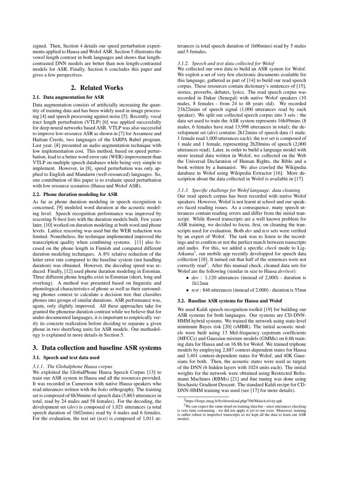signed. Then, Section 4 details our speed perturbation experiments applied to Hausa and Wolof ASR. Section 5 illustrates the vowel length contrast in both languages and shows that lengthcontrasted DNN models are better than non length-contrasted models for ASR. Finally, Section 6 concludes this paper and gives a few perspectives.

# 2. Related Works

### 2.1. Data augmentation for ASR

Data augmentation consists of artificially increasing the quantity of training data and has been widely used in image processing [4] and speech processing against noise [5]. Recently, vocal tract length perturbation (VTLP) [6] was applied successfully for deep neural networks based ASR. VTLP was also successful to improve low-resource ASR as shown in [7] for Assamese and Haitian Creole, two languages of the IARPA Babel program. Last year, [8] presented an audio augmentation technique with low implementation cost. This method, based on speed perturbation, lead to a better word error rate (WER) improvement than VTLP on multiple speech databases while being very simple to implement. However, in [8], speed perturbation was only applied to English and Mandarin (well-resourced) languages. So, one contribution of this paper is to evaluate speed perturbation with low resource scenarios (Hausa and Wolof ASR).

#### 2.2. Phone duration modeling for ASR

As far as phone duration modeling in speech recognition is concerned, [9] modeled word duration at the acoustic modeling level. Speech recognition performance was improved by rescoring N-best lists with the duration models built. Few years later, [10] worked on duration modeling at both word and phone levels. Lattice rescoring was used but the WER reduction was limited. Nonetheless, the technique implemented improved the transcription quality when combining systems. [11] also focused on the phone length in Finnish and compared different duration modeling techniques. A 8% relative reduction of the letter error rate compared to the baseline system (not handling duration) was obtained. However, the decoding speed was reduced. Finally, [12] used phone duration modeling in Estonian. Three different phone lengths exist in Estonian (short, long and overlong). A method was presented based on linguistic and phonological characteristics of phone as well as their surrounding phones context to calculate a decision tree that classifies phones into groups of similar durations. ASR performance was, again, only slightly improved. All these approaches take for granted the phoneme duration contrast while we believe that for under-documented languages, it is important to empirically verify its concrete realization before deciding to separate a given phone in two short/long units for ASR models. Our methodology is explained in more details in Section 5.

# 3. Data collection and baseline ASR systems

#### 3.1. Speech and text data used

# *3.1.1. The Globalphone Hausa corpus*

We exploited the GlobalPhone Hausa Speech Corpus [13] to train our ASR system in Hausa and all the resources provided. It was recorded in Cameroon with native Hausa speakers who read utterances written with the *boko* orthography. The training set is composed of 6h36mins of speech data (5,863 utterances in total, read by 24 males and 58 females). For the decoding, the development set (*dev*) is composed of 1,021 utterances (a total speech duration of 1h02mins) read by 4 males and 6 females. For the evaluation, the test set (*test*) is composed of 1,011 ut-

terances (a total speech duration of 1h06mins) read by 5 males and 5 females.

#### *3.1.2. Speech and text data collected for Wolof*

We collected our own data to build an ASR system for Wolof. We exploit a set of very few electronic documents available for this language, gathered as part of [14] to build our read speech corpus. These resources contain dictionary's sentences of [15], stories, proverbs, debates, lyrics. The read speech corpus was recorded in Dakar (Senegal) with native Wolof speakers (10 males, 8 females - from 24 to 48 years old). We recorded 21h22mins of speech signal (1,000 utterances read by each speaker). We split our collected speech corpus into 3 sets : the data set used to train the ASR system represents 16h49mins (8 males, 6 females have read 13,998 utterances in total); the development set (*dev*) contains 2h12mins of speech data (1 male, 1 female read 1,000 utterances each); the *test* set is composed of 1 male and 1 female, representing 2h20mins of speech (2,000 utterances read). Later, in order to build a language model with more textual data written in Wolof, we collected on the Web the Universal Declaration of Human Rights, the Bible and a book written by a humanist. We also crawled the Wikipedia database in Wolof using Wikipedia Extractor [16]. More description about the data collected in Wolof is available in [17].

*3.1.3. Specific challenge for Wolof language: data cleaning* Our read speech corpus has been recorded with native Wolof speakers. However, Wolof is not learnt at school and our speakers faced reading issues. As a consequence, many speech utterances contain reading errors and differ from the initial transcript. While flawed transcripts are a well known problem for ASR training, we decided to focus, first, on cleaning the transcripts used for evaluation. Both *dev* and *test* sets were verified by an expert of Wolof. The task was to listen to the recordings and to confirm or not the perfect match between transcripts and audio. For this, we added a specific *check* mode to Lig-Aikuma<sup>2</sup>, our mobile app recently developped for speech data collection [18]. It turned out that half of the sentences were not correctly read<sup>3</sup>. After this manual check, cleaned data sets for Wolof are the following (similar in size to Hausa *dev*/*test*):

- *dev* : 1,120 utterances (instead of 2,000) duration is 1h12mn
- *test* : 846 utterances (instead of 2,000) duration is 55mn

### 3.2. Baseline ASR systems for Hausa and Wolof

We used Kaldi speech recognition toolkit [19] for building our ASR systems for both languages. Our systems are CD-DNN-HMM hybrid systems. We trained the network using state-level minimum Bayes risk [20] (sMBR). The initial acoustic models were built using 13 Mel-frequency cepstrum coefficients (MFCCs) and Gaussian mixture models (GMMs) on 6.6h training data for Hausa and on 16.8h for Wolof. We trained triphone models by employing 2,887 context-dependent states for Hausa and 3,401 context-dependent states for Wolof, and 40K Gaussians for both. Then, the acoustic states were used as targets of the DNN (6 hidden layers with 1024 units each). The initial weights for the network were obtained using Restricted Boltzmann Machines (RBMs) [21] and fine tuning was done using Stochastic Gradient Descent. The standard Kaldi recipe for CD-DNN-HMM training was used (see [17] for more details).

<sup>2</sup> https://forge.imag.fr/frs/download.php/706/MainActivity.apk

<sup>&</sup>lt;sup>3</sup>We can expect the same trend on training data but - since utterances checking is very time consuming - we did not apply it yet to our *train*. Moreover, training is rather robust to imperfect transcripts so we kept all the data to learn our ASR models.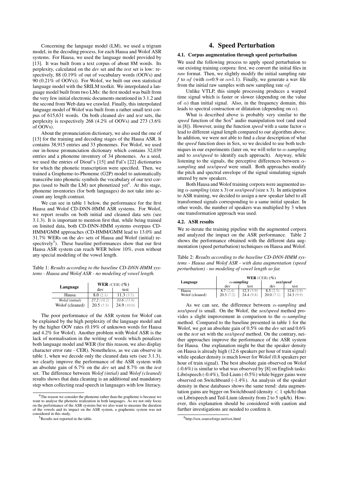Concerning the language model (LM), we used a trigram model, in the decoding process, for each Hausa and Wolof ASR systems. For Hausa, we used the language model provided by [13]. It was built from a text corpus of about 8M words. Its perplexity, calculated on the *dev* set and the *test* set is low: respectively, 88 (0.19% of out of vocabulary words (OOVs) and 90 (0.21% of OOVs)). For Wolof, we built our own statistical language model with the SRILM toolkit. We interpolated a language model built from two LMs: the first model was built from the very few initial electronic documents mentioned in 3.1.2 and the second from Web data we crawled. Finally, this interpolated language model of Wolof was built from a rather small text corpus of 615,631 words. On both cleaned *dev* and *test* sets, the perplexity is respectively 268 (4.2% of OOVs) and 273 (3.6% of OOVs).

About the pronunciation dictionary, we also used the one of [13] for the training and decoding stages of the Hausa ASR. It contains 38,915 entries and 33 phonemes. For Wolof, we used our in-house pronunciation dictionary which contains 32,039 entries and a phoneme inventory of 34 phonemes. As a seed, we used the entries of Diouf's [15] and Fal's [22] dictionaries for which the phonetic transcription were specified. Then, we trained a Grapheme-to-Phoneme (G2P) model to automatically transcribe into phonetic symbols the vocabulary of our text corpus (used to built the LM) not phonetized yet<sup>4</sup>. At this stage, phoneme inventories (for both languages) do not take into account any length contrast.

We can see in table 1 below, the performance for the first Hausa and Wolof CD-DNN-HMM ASR systems. For Wolof, we report results on both initial and cleaned data sets (see 3.1.3). It is important to mention first that, while being trained on limited data, both CD-DNN-HMM systems overpass CD-HMM/GMM approaches (CD-HMM/GMM lead to 13.0% and 31.7% WERs on the *dev* sets of Hausa and Wolof (initial) respectively<sup>5</sup>). These baseline performances show that our first Hausa ASR system can reach WER below 10%, even without any special modeling of the vowel length.

Table 1: *Results according to the baseline CD-DNN-HMM systems - Hausa and Wolof ASR - no modeling of vowel length.*

| Language        | WER (CER) $(\% )$ |            |  |
|-----------------|-------------------|------------|--|
|                 | dev               | test       |  |
| Hausa           | 8.0(2.1)          | 11.3(3.7)  |  |
| Wolof (initial) | 27.2(10.2)        | 33.6(13.9) |  |
| Wolof (cleaned) | 20.5(7.3)         | 24.9(10.0) |  |

The poor performance of the ASR system for Wolof can be explained by the high perplexity of the language model and by the higher OOV rates (0.19% of unknown words for Hausa and 4.2% for Wolof). Another problem with Wolof ASR is the lack of normalisation in the writing of words which penalizes both language model and WER (for this reason, we also display character error rate - CER). Nonetheless, as we can observe in table 1, when we decode only the cleaned data sets (see 3.1.3), we clearly improve the performance of the ASR system with an absolute gain of 6.7% on the *dev* set and 8.7% on the *test* set. The difference between *Wolof (intial)* and *Wolof (cleaned)* results shows that data cleaning is an additional and mandatory step when collecting read speech in languages with low literacy.

# 4. Speed Perturbation

#### 4.1. Corpus augmentation through speed perturbation

We used the following process to apply speed perturbation to our existing training corpora: first, we convert the initial files in *raw* format. Then, we slightly modify the initial sampling rate *f* to  $\alpha f$  (with  $\alpha = 0.9$  or  $\alpha = 1.1$ ). Finally, we generate a way file from the initial raw samples with new sampling rate  $\alpha f$ .

Unlike VTLP, this simple processing produces a warped time signal which is faster or slower (depending on the value of  $\alpha$ ) than initial signal. Also, in the frequency domain, this leads to spectral contraction or dilatation (depending on  $\alpha$ ).

What is described above is probably very similar to the speed function of the Sox<sup>6</sup> audio manipulation tool (and used in [8]). However, using the function *speed* with a same factor  $\alpha$ lead to different signal length compared to our algorithm above. In addition, we were not able to find a clear description of what the *speed* function does in Sox, so we decided to use both techniques in our experiments (later on, we will refer to α*-sampling* and to *sox/speed* to identify each approach). Anyway, while listening to the signals, the perceptive differences between α*sampling* and *sox/speed* were small. Both approaches modify the pitch and spectral envelope of the signal simulating signals uttered by new speakers.

Both Hausa and Wolof training corpora were augmented using α*-sampling* (size x 3) or *sox/speed* (size x 3). In anticipation to ASR training, we decided to assign a new speaker label to all transformed signals corresponding to a same initial speaker. In other words, the number of speakers was multiplied by 3 when one transformation approach was used.

### 4.2. ASR results

We re-iterate the training pipeline with the augmented corpora and analyzed the impact on the ASR performance. Table 2 shows the performance obtained with the different data augmentation (speed perturbation) techniques on Hausa and Wolof.

Table 2: *Results according to the baseline CD-DNN-HMM systems - Hausa and Wolof ASR - with data augmentation (speed perturbation) - no modeling of vowel length so far.*

|                 | WER $(CER)$ $(\%)$ |            |           |           |  |
|-----------------|--------------------|------------|-----------|-----------|--|
| Language        | $\alpha$ -sampling |            | sox/speed |           |  |
|                 | dev                | test       | dev       | test      |  |
| Hausa           |                    | 12.3 (3.9) |           | 12.6(3.9) |  |
| Wolof (cleaned) | 20.3(7)            | 24.4(9.8)  | 20.0(7)   | 24.3(9.9) |  |

As we can see, the difference between  $\alpha$ -sampling and *sox/speed* is small. On the Wolof, the *sox/speed* method provides a slight improvement in comparison to the  $\alpha$ -sampling method. Compared to the baseline presented in table 1 for the Wolof, we got an absolute gain of 0.5% on the *dev* set and 0.6% on the *test* set with the *sox/speed* method. On the contrary, neither approaches improve the performance of the ASR system for Hausa. One explanation might be that the speaker density on Hausa is already high (12.6 speakers per hour of train signal) while speaker density is much lower for Wolof (0.8 speakers per hour of train signal). The best absolute gain observed on Wolof (-0.6%) is similar to what was observed by [8] on English tasks: Librispeech (-0.4%), Ted-Lium (-0.5%) while bigger gains were observed on Switchboard (-1.4%). An analysis of the speaker density in these databases shows the same trend: data augmentation gains are bigger on Switchboard (density  $< 1$  spk/h) than on Librispeech and Ted-Lium (density from 2 to 5 spk/h). However, this explanation should be considered with caution and further investigations are needed to confirm it.

<sup>4</sup>The reason we consider the phoneme rather than the grapheme is because we want to analyse the phonetic realization in both languages. As we not only focus on the performance of the ASR systems but we also want to measure the duration of the vowels and its impact on the ASR system, a graphemic system was not considered in this study.

 $5$ Results not reported in the table.

<sup>6</sup> http://sox.sourceforge.net/sox.html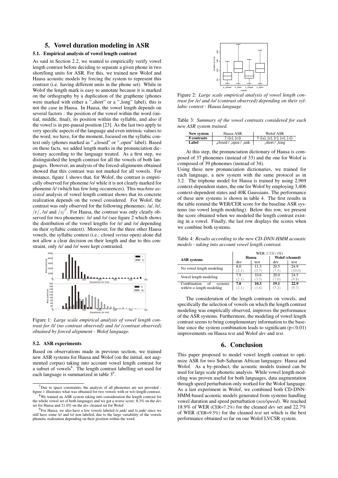# 5. Vowel duration modeling in ASR

# 5.1. Empirical analysis of vowel length contrast

As said in Section 2.2, we wanted to empirically verify vowel length contrast before deciding to separate a given phone in two short/long units for ASR. For this, we trained new Wolof and Hausa acoustic models by forcing the system to represent this contrast (i.e. having different units in the phone set). While in Wolof the length mark is easy to annotate because it is marked on the orthography by a duplication of the grapheme (phones were marked with either a " short" or a " long" label), this is not the case in Hausa. In Hausa, the vowel length depends on several factors : the position of the vowel within the word (initial, middle, final), its position within the syllable, and also if the vowel is in pre-pausal position [23]. As the last two apply to very specific aspects of the language and even intrinsic values to the word, we have, for the moment, focused on the syllabic context only (phones marked as "\_closed" or "\_open" label). Based on these facts, we added length marks in the pronunciation dictionary according to the language treated. As a first step, we distinguished the length contrast for all the vowels of both languages. However, an analysis of the forced-alignments obtained showed that this contrast was not marked for all vowels. For instance, figure 1 shows that, for Wolof, the contrast is empirically observed for phoneme /o/ while it is not clearly marked for phoneme /i/ (which has few long occurences). This *machine assisted* analysis of vowel length contrast shows that its concrete realization depends on the vowel considered. For Wolof, the contrast was only observed for the following phonemes: /a/, /e/,  $\sqrt{\epsilon}/$ , /o/ and  $\sqrt{2}$ . For Hausa, the contrast was only clearly observed for two phonemes: /e/ and /o/ (see figure 2 which shows the distribution of the vowel lengths for /e/ and /o/ depending on their syllabic context). Moreover, for the three other Hausa vowels, the syllabic context (i.e.: closed *versus* open) alone did not allow a clear decision on their length and due to this constraint, only /e/ and /o/ were kept contrasted.



Figure 1: *Large scale empirical analysis of vowel length contrast for /i/ (no contrast observed) and /o/ (contrast observed) obtained by forced alignment - Wolof language.*

#### 5.2. ASR experiments

Based on observations made in previous section, we trained new ASR systems for Hausa and Wolof (on the initial, not augmented corpus) taking into account vowel length contrast for a subset of vowels<sup>8</sup>. The length contrast labelling set used for each language is summarized in table 3<sup>9</sup>.



Figure 2: *Large scale empirical analysis of vowel length contrast for /e/ and /o/ (contrast observed) depending on their syllabic context - Hausa language.*

Table 3: *Summary of the vowel contrasts considered for each new ASR system trained.*

| New system  | Hausa ASR              | Wolof ASR                  |
|-------------|------------------------|----------------------------|
| # contrasts | 2([e],[o])             | 5([a], [e], [c], [o], [o]) |
| Label       | $-closed / open / unk$ | $\_short / long$           |

At this step, the pronunciation dictionary of Hausa is composed of 37 phonemes (instead of 33) and the one for Wolof is composed of 39 phonemes (instead of 34).

Using these new pronunciation dictionaries, we trained for each language, a new system with the same protocol as in 3.2. The triphone model for Hausa is trained by using 2,969 context-dependent states, the one for Wolof by employing 3,406 context-dependent states and 40K Gaussians. The performance of these new systems is shown in table 4. The first results in the table remind the WER/CER score for the baseline ASR systems (no vowel length modeling). Below this row, we present the score obtained when we modeled the length contrast existing in a vowel. Finally, the last row displays the scores when we combine both systems.

Table 4: *Results according to the new CD-DNN-HMM acoustic models - taking into account vowel length contrast.*

|                              | WER $(CER)$ $(\%)$ |       |                 |        |
|------------------------------|--------------------|-------|-----------------|--------|
| <b>ASR</b> systems           | Hausa              |       | Wolof (cleaned) |        |
|                              | dev                | test  | dev             | test   |
| No vowel length modeling     | 8.0                | 11.3  | 20.5            | 24.9   |
|                              | ʻ2.1               | 3.7   | (7.3)           | (10.0) |
| Vowel length modeling        | 7.9                | 10.6  | 20.0            | 24.5   |
|                              | '2.1'              | (3.5) | (7.0)           | (9.8)  |
| Combination<br>systems<br>оf | 7.8                | 10.3  | 19.1            | 22.9   |
| with/w-o length modeling     | 2.1                | (3.6) | (7.2)           | 9.7    |

The consideration of the length contrasts on vowels, and specifically the selection of vowels on which the length contrast modeling was empirically observed, improves the performance of the ASR systems. Furthermore, the modeling of vowel length contrast seems to bring complementary information to the baseline since the system combination leads to significant  $(p<0.01)$ improvements on Hausa *test* and Wolof *dev* and *test*.

#### 6. Conclusion

This paper proposed to model vowel length contrast to optimize ASR for two Sub-Saharan African languages: Hausa and Wolof. As a by-product, the acoustic models trained can be used for large scale phonetic analysis. While vowel length modeling was proven useful for both languages, data augmentation through speed perturbation only worked for the Wolof language. As a last experiment in Wolof, we combined both CD-DNN-HMM-based acoustic models generated from systems handling vowel duration and speed perturbation (*sox/speed*). We reached 18.9% of WER (CER=7.2%) for the cleaned *dev* set and 22.7% of WER (CER=9.5%) for the cleaned *test* set which is the best performance obtained so far on our Wolof LVCSR system.

 $7$ Due to space constraints, the analysis of all phonemes are not provided figure 1 illustrates what was obtained for two vowels with or w/o length contrast.

<sup>8</sup>We trained an ASR system taking into consideration the length contrast for the whole vowel set of both languages and we got a worse score: 8.3% on the *dev* set for Hausa and 21.0% on the *dev* cleaned set for Wolof.

 $9$ For Hausa, we also have a few vowels labeled /e\_unk/ and /o\_unk/ since we still have some /e/ and /o/ non labeled, due to the large variability of the vowels phonetic realization depending on their position within the word.